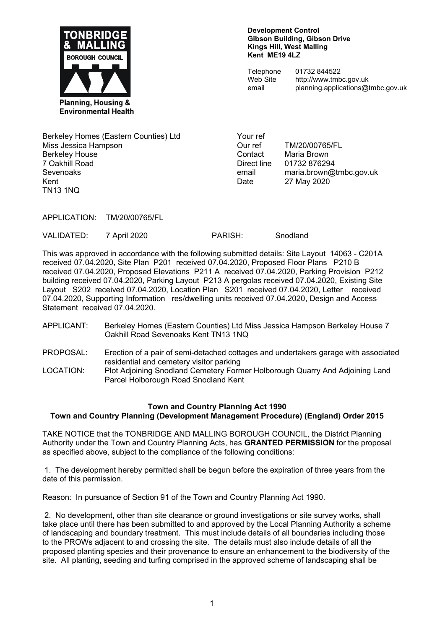

#### **Development Control Gibson Building, Gibson Drive Kings Hill, West Malling Kent ME19 4LZ**

**Telephone** Web Site email

01732 844522 http://www.tmbc.gov.uk planning.applications@tmbc.gov.uk

Berkeley Homes (Eastern Counties) Ltd Miss Jessica Hampson Berkeley House 7 Oakhill Road Sevenoaks Kent TN13 1NQ

Your ref Our ref TM/20/00765/FL Contact Maria Brown Direct line 01732 876294 email maria.brown@tmbc.gov.uk Date 27 May 2020

APPLICATION: TM/20/00765/FL

VALIDATED: 7 April 2020 PARISH: Snodland

This was approved in accordance with the following submitted details: Site Layout 14063 - C201A received 07.04.2020, Site Plan P201 received 07.04.2020, Proposed Floor Plans P210 B received 07.04.2020, Proposed Elevations P211 A received 07.04.2020, Parking Provision P212 building received 07.04.2020, Parking Layout P213 A pergolas received 07.04.2020, Existing Site Layout S202 received 07.04.2020, Location Plan S201 received 07.04.2020, Letter received 07.04.2020, Supporting Information res/dwelling units received 07.04.2020, Design and Access Statement received 07.04.2020.

- APPLICANT: Berkeley Homes (Eastern Counties) Ltd Miss Jessica Hampson Berkeley House 7 Oakhill Road Sevenoaks Kent TN13 1NQ
- PROPOSAL: Erection of a pair of semi-detached cottages and undertakers garage with associated residential and cemetery visitor parking
- LOCATION: Plot Adjoining Snodland Cemetery Former Holborough Quarry And Adjoining Land Parcel Holborough Road Snodland Kent

## **Town and Country Planning Act 1990**

## **Town and Country Planning (Development Management Procedure) (England) Order 2015**

TAKE NOTICE that the TONBRIDGE AND MALLING BOROUGH COUNCIL, the District Planning Authority under the Town and Country Planning Acts, has **GRANTED PERMISSION** for the proposal as specified above, subject to the compliance of the following conditions:

 1. The development hereby permitted shall be begun before the expiration of three years from the date of this permission.

Reason: In pursuance of Section 91 of the Town and Country Planning Act 1990.

 2. No development, other than site clearance or ground investigations or site survey works, shall take place until there has been submitted to and approved by the Local Planning Authority a scheme of landscaping and boundary treatment. This must include details of all boundaries including those to the PROWs adjacent to and crossing the site. The details must also include details of all the proposed planting species and their provenance to ensure an enhancement to the biodiversity of the site. All planting, seeding and turfing comprised in the approved scheme of landscaping shall be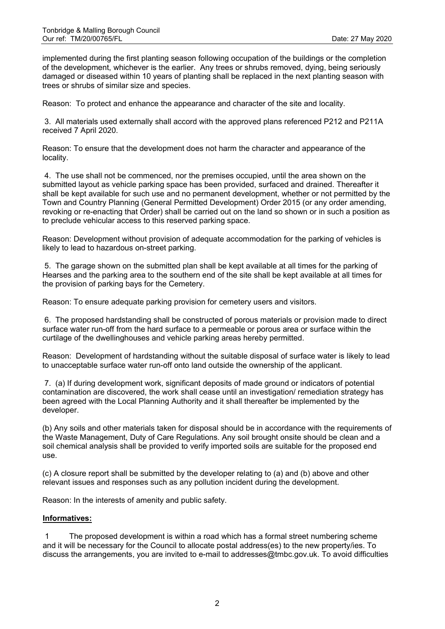implemented during the first planting season following occupation of the buildings or the completion of the development, whichever is the earlier. Any trees or shrubs removed, dying, being seriously damaged or diseased within 10 years of planting shall be replaced in the next planting season with trees or shrubs of similar size and species.

Reason: To protect and enhance the appearance and character of the site and locality.

 3. All materials used externally shall accord with the approved plans referenced P212 and P211A received 7 April 2020.

Reason: To ensure that the development does not harm the character and appearance of the locality.

 4. The use shall not be commenced, nor the premises occupied, until the area shown on the submitted layout as vehicle parking space has been provided, surfaced and drained. Thereafter it shall be kept available for such use and no permanent development, whether or not permitted by the Town and Country Planning (General Permitted Development) Order 2015 (or any order amending, revoking or re-enacting that Order) shall be carried out on the land so shown or in such a position as to preclude vehicular access to this reserved parking space.

Reason: Development without provision of adequate accommodation for the parking of vehicles is likely to lead to hazardous on-street parking.

 5. The garage shown on the submitted plan shall be kept available at all times for the parking of Hearses and the parking area to the southern end of the site shall be kept available at all times for the provision of parking bays for the Cemetery.

Reason: To ensure adequate parking provision for cemetery users and visitors.

 6. The proposed hardstanding shall be constructed of porous materials or provision made to direct surface water run-off from the hard surface to a permeable or porous area or surface within the curtilage of the dwellinghouses and vehicle parking areas hereby permitted.

Reason: Development of hardstanding without the suitable disposal of surface water is likely to lead to unacceptable surface water run-off onto land outside the ownership of the applicant.

 7. (a) If during development work, significant deposits of made ground or indicators of potential contamination are discovered, the work shall cease until an investigation/ remediation strategy has been agreed with the Local Planning Authority and it shall thereafter be implemented by the developer.

(b) Any soils and other materials taken for disposal should be in accordance with the requirements of the Waste Management, Duty of Care Regulations. Any soil brought onsite should be clean and a soil chemical analysis shall be provided to verify imported soils are suitable for the proposed end use.

(c) A closure report shall be submitted by the developer relating to (a) and (b) above and other relevant issues and responses such as any pollution incident during the development.

Reason: In the interests of amenity and public safety.

### **Informatives:**

 1 The proposed development is within a road which has a formal street numbering scheme and it will be necessary for the Council to allocate postal address(es) to the new property/ies. To discuss the arrangements, you are invited to e-mail to addresses@tmbc.gov.uk. To avoid difficulties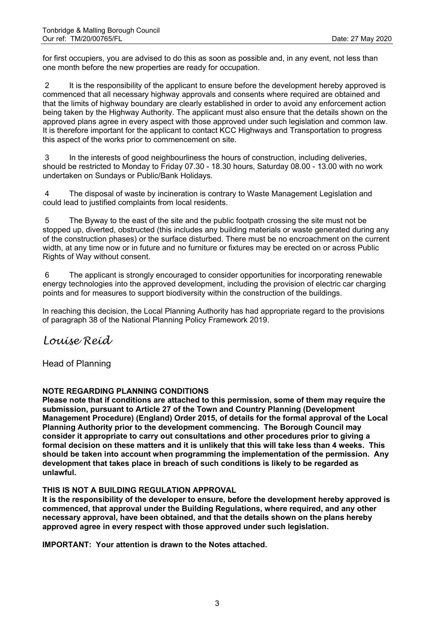for first occupiers, you are advised to do this as soon as possible and, in any event, not less than one month before the new properties are ready for occupation.

2 It is the responsibility of the applicant to ensure before the development hereby approved is commenced that all necessary highway approvals and consents where required are obtained and that the limits of highway boundary are clearly established in order to avoid any enforcement action being taken by the Highway Authority. The applicant must also ensure that the details shown on the approved plans agree in every aspect with those approved under such legislation and common law. It is therefore important for the applicant to contact KCC Highways and Transportation to progress this aspect of the works prior to commencement on site.

 3 In the interests of good neighbourliness the hours of construction, including deliveries, should be restricted to Monday to Friday 07.30 - 18.30 hours, Saturday 08.00 - 13.00 with no work undertaken on Sundays or Public/Bank Holidays.

 4 The disposal of waste by incineration is contrary to Waste Management Legislation and could lead to justified complaints from local residents.

 5 The Byway to the east of the site and the public footpath crossing the site must not be stopped up, diverted, obstructed (this includes any building materials or waste generated during any of the construction phases) or the surface disturbed. There must be no encroachment on the current width, at any time now or in future and no furniture or fixtures may be erected on or across Public Rights of Way without consent.

 6 The applicant is strongly encouraged to consider opportunities for incorporating renewable energy technologies into the approved development, including the provision of electric car charging points and for measures to support biodiversity within the construction of the buildings.

In reaching this decision, the Local Planning Authority has had appropriate regard to the provisions of paragraph 38 of the National Planning Policy Framework 2019.

# Louise Reid

Head of Planning

## **NOTE REGARDING PLANNING CONDITIONS**

**Please note that if conditions are attached to this permission, some of them may require the submission, pursuant to Article 27 of the Town and Country Planning (Development Management Procedure) (England) Order 2015, of details for the formal approval of the Local Planning Authority prior to the development commencing. The Borough Council may consider it appropriate to carry out consultations and other procedures prior to giving a formal decision on these matters and it is unlikely that this will take less than 4 weeks. This should be taken into account when programming the implementation of the permission. Any development that takes place in breach of such conditions is likely to be regarded as unlawful.** 

## **THIS IS NOT A BUILDING REGULATION APPROVAL**

**It is the responsibility of the developer to ensure, before the development hereby approved is commenced, that approval under the Building Regulations, where required, and any other necessary approval, have been obtained, and that the details shown on the plans hereby approved agree in every respect with those approved under such legislation.**

**IMPORTANT: Your attention is drawn to the Notes attached.**